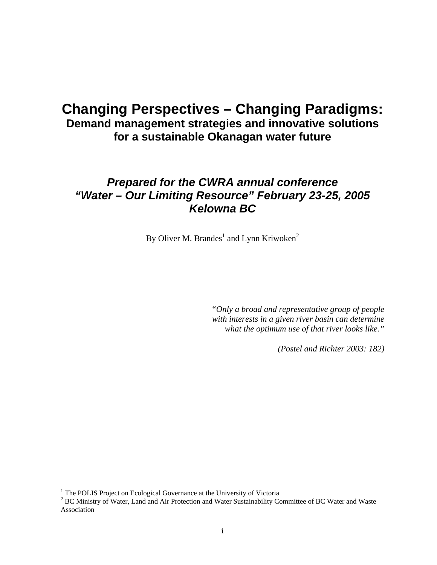# **Changing Perspectives – Changing Paradigms: Demand management strategies and innovative solutions for a sustainable Okanagan water future**

## *Prepared for the CWRA annual conference "Water – Our Limiting Resource" February 23-25, 2005 Kelowna BC*

By Oliver M. Brandes<sup>1</sup> and Lynn Kriwoken<sup>2</sup>

*"Only a broad and representative group of people with interests in a given river basin can determine what the optimum use of that river looks like."* 

*(Postel and Richter 2003: 182)*

1

<sup>&</sup>lt;sup>1</sup> The POLIS Project on Ecological Governance at the University of Victoria  ${}^{2}$  PC Ministry of Water Land and Air Protection and Water Sustainability Co.

<sup>&</sup>lt;sup>2</sup> BC Ministry of Water, Land and Air Protection and Water Sustainability Committee of BC Water and Waste Association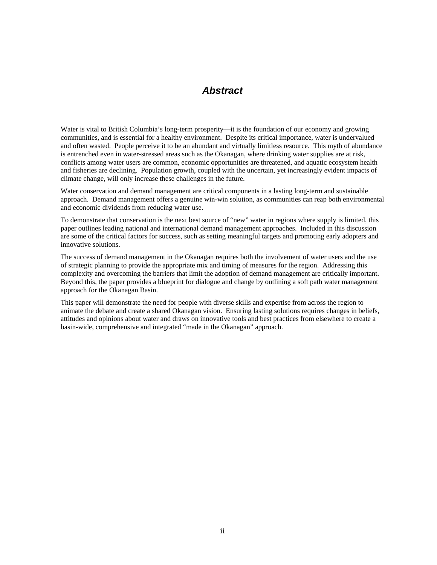#### *Abstract*

Water is vital to British Columbia's long-term prosperity—it is the foundation of our economy and growing communities, and is essential for a healthy environment. Despite its critical importance, water is undervalued and often wasted. People perceive it to be an abundant and virtually limitless resource. This myth of abundance is entrenched even in water-stressed areas such as the Okanagan, where drinking water supplies are at risk, conflicts among water users are common, economic opportunities are threatened, and aquatic ecosystem health and fisheries are declining. Population growth, coupled with the uncertain, yet increasingly evident impacts of climate change, will only increase these challenges in the future.

Water conservation and demand management are critical components in a lasting long-term and sustainable approach. Demand management offers a genuine win-win solution, as communities can reap both environmental and economic dividends from reducing water use.

To demonstrate that conservation is the next best source of "new" water in regions where supply is limited, this paper outlines leading national and international demand management approaches. Included in this discussion are some of the critical factors for success, such as setting meaningful targets and promoting early adopters and innovative solutions.

The success of demand management in the Okanagan requires both the involvement of water users and the use of strategic planning to provide the appropriate mix and timing of measures for the region. Addressing this complexity and overcoming the barriers that limit the adoption of demand management are critically important. Beyond this, the paper provides a blueprint for dialogue and change by outlining a soft path water management approach for the Okanagan Basin.

This paper will demonstrate the need for people with diverse skills and expertise from across the region to animate the debate and create a shared Okanagan vision. Ensuring lasting solutions requires changes in beliefs, attitudes and opinions about water and draws on innovative tools and best practices from elsewhere to create a basin-wide, comprehensive and integrated "made in the Okanagan" approach.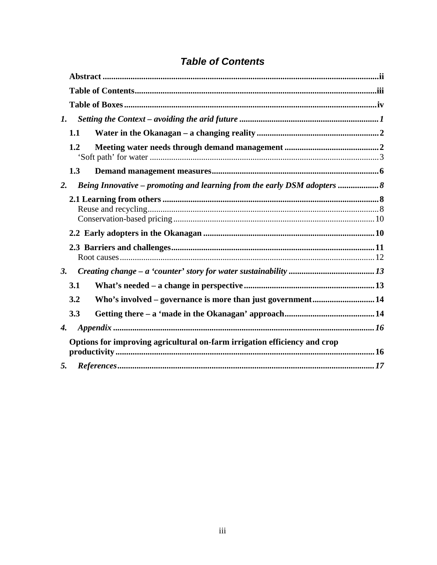## **Table of Contents**

| 1. |                                                                           |  |  |  |  |  |  |
|----|---------------------------------------------------------------------------|--|--|--|--|--|--|
|    | 1.1                                                                       |  |  |  |  |  |  |
|    | 1.2                                                                       |  |  |  |  |  |  |
|    | 1.3                                                                       |  |  |  |  |  |  |
| 2. | Being Innovative – promoting and learning from the early DSM adopters     |  |  |  |  |  |  |
|    |                                                                           |  |  |  |  |  |  |
|    |                                                                           |  |  |  |  |  |  |
|    |                                                                           |  |  |  |  |  |  |
| 3. |                                                                           |  |  |  |  |  |  |
|    | 3.1                                                                       |  |  |  |  |  |  |
|    | Who's involved - governance is more than just government 14<br>3.2        |  |  |  |  |  |  |
|    | 3.3                                                                       |  |  |  |  |  |  |
| 4. |                                                                           |  |  |  |  |  |  |
|    | Options for improving agricultural on-farm irrigation efficiency and crop |  |  |  |  |  |  |
| 5. |                                                                           |  |  |  |  |  |  |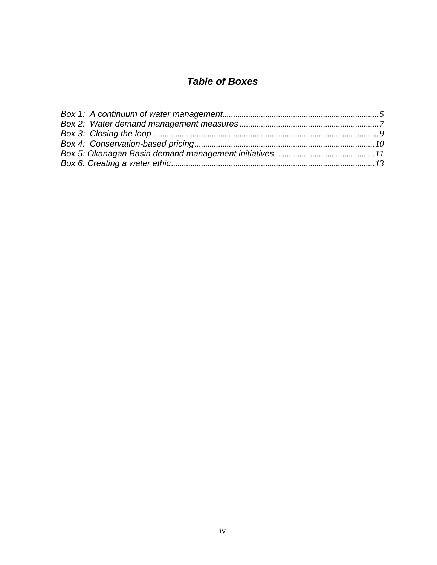# **Table of Boxes**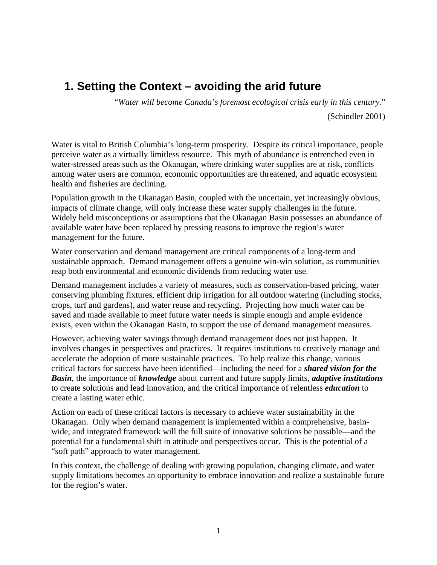# **1. Setting the Context – avoiding the arid future**

"*Water will become Canada's foremost ecological crisis early in this century.*"

(Schindler 2001)

Water is vital to British Columbia's long-term prosperity. Despite its critical importance, people perceive water as a virtually limitless resource. This myth of abundance is entrenched even in water-stressed areas such as the Okanagan, where drinking water supplies are at risk, conflicts among water users are common, economic opportunities are threatened, and aquatic ecosystem health and fisheries are declining.

Population growth in the Okanagan Basin, coupled with the uncertain, yet increasingly obvious, impacts of climate change, will only increase these water supply challenges in the future. Widely held misconceptions or assumptions that the Okanagan Basin possesses an abundance of available water have been replaced by pressing reasons to improve the region's water management for the future.

Water conservation and demand management are critical components of a long-term and sustainable approach. Demand management offers a genuine win-win solution, as communities reap both environmental and economic dividends from reducing water use.

Demand management includes a variety of measures, such as conservation-based pricing, water conserving plumbing fixtures, efficient drip irrigation for all outdoor watering (including stocks, crops, turf and gardens), and water reuse and recycling. Projecting how much water can be saved and made available to meet future water needs is simple enough and ample evidence exists, even within the Okanagan Basin, to support the use of demand management measures.

However, achieving water savings through demand management does not just happen. It involves changes in perspectives and practices. It requires institutions to creatively manage and accelerate the adoption of more sustainable practices. To help realize this change, various critical factors for success have been identified—including the need for a *shared vision for the Basin*, the importance of *knowledge* about current and future supply limits, *adaptive institutions* to create solutions and lead innovation, and the critical importance of relentless *education* to create a lasting water ethic.

Action on each of these critical factors is necessary to achieve water sustainability in the Okanagan. Only when demand management is implemented within a comprehensive, basinwide, and integrated framework will the full suite of innovative solutions be possible—and the potential for a fundamental shift in attitude and perspectives occur. This is the potential of a "soft path" approach to water management.

In this context, the challenge of dealing with growing population, changing climate, and water supply limitations becomes an opportunity to embrace innovation and realize a sustainable future for the region's water.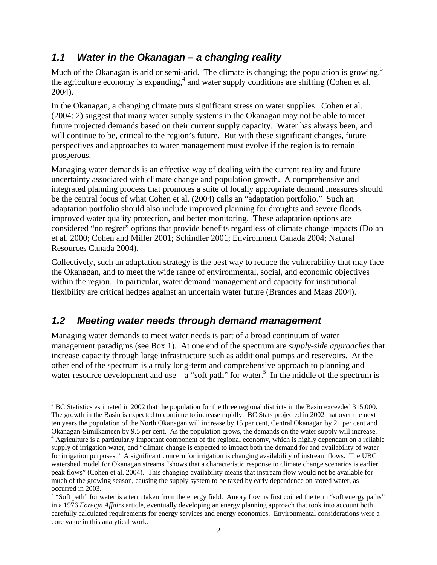### *1.1 Water in the Okanagan – a changing reality*

Much of the Okanagan is arid or semi-arid. The climate is changing; the population is growing,  $3<sup>3</sup>$ the agriculture economy is expanding, $4$  and water supply conditions are shifting (Cohen et al. 2004).

In the Okanagan, a changing climate puts significant stress on water supplies. Cohen et al. (2004: 2) suggest that many water supply systems in the Okanagan may not be able to meet future projected demands based on their current supply capacity. Water has always been, and will continue to be, critical to the region's future. But with these significant changes, future perspectives and approaches to water management must evolve if the region is to remain prosperous.

Managing water demands is an effective way of dealing with the current reality and future uncertainty associated with climate change and population growth. A comprehensive and integrated planning process that promotes a suite of locally appropriate demand measures should be the central focus of what Cohen et al. (2004) calls an "adaptation portfolio." Such an adaptation portfolio should also include improved planning for droughts and severe floods, improved water quality protection, and better monitoring. These adaptation options are considered "no regret" options that provide benefits regardless of climate change impacts (Dolan et al. 2000; Cohen and Miller 2001; Schindler 2001; Environment Canada 2004; Natural Resources Canada 2004).

Collectively, such an adaptation strategy is the best way to reduce the vulnerability that may face the Okanagan, and to meet the wide range of environmental, social, and economic objectives within the region. In particular, water demand management and capacity for institutional flexibility are critical hedges against an uncertain water future (Brandes and Maas 2004).

### *1.2 Meeting water needs through demand management*

 $\overline{a}$ 

Managing water demands to meet water needs is part of a broad continuum of water management paradigms (see Box 1). At one end of the spectrum are *supply-side approaches* that increase capacity through large infrastructure such as additional pumps and reservoirs. At the other end of the spectrum is a truly long-term and comprehensive approach to planning and water resource development and use—a "soft path" for water.<sup>5</sup> In the middle of the spectrum is

 $3 \text{ BC Statistics estimated in 2002 that the population for the three regional districts in the Basin exceeded 315,000.}$ The growth in the Basin is expected to continue to increase rapidly. BC Stats projected in 2002 that over the next ten years the population of the North Okanagan will increase by 15 per cent, Central Okanagan by 21 per cent and Okanagan-Similkameen by 9.5 per cent. As the population grows, the demands on the water supply will increase. 4

<sup>&</sup>lt;sup>4</sup> Agriculture is a particularly important component of the regional economy, which is highly dependant on a reliable supply of irrigation water, and "climate change is expected to impact both the demand for and availability of water for irrigation purposes." A significant concern for irrigation is changing availability of instream flows. The UBC watershed model for Okanagan streams "shows that a characteristic response to climate change scenarios is earlier peak flows" (Cohen et al. 2004). This changing availability means that instream flow would not be available for much of the growing season, causing the supply system to be taxed by early dependence on stored water, as occurred in 2003.

 $<sup>5</sup>$  "Soft path" for water is a term taken from the energy field. Amory Lovins first coined the term "soft energy paths"</sup> in a 1976 *Foreign Affairs* article, eventually developing an energy planning approach that took into account both carefully calculated requirements for energy services and energy economics. Environmental considerations were a core value in this analytical work.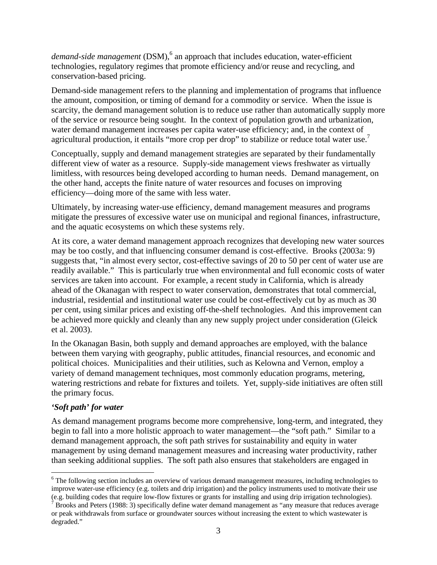demand-side management (DSM),<sup>6</sup> an approach that includes education, water-efficient technologies, regulatory regimes that promote efficiency and/or reuse and recycling, and conservation-based pricing.

Demand-side management refers to the planning and implementation of programs that influence the amount, composition, or timing of demand for a commodity or service. When the issue is scarcity, the demand management solution is to reduce use rather than automatically supply more of the service or resource being sought. In the context of population growth and urbanization, water demand management increases per capita water-use efficiency; and, in the context of agricultural production, it entails "more crop per drop" to stabilize or reduce total water use.<sup>7</sup>

Conceptually, supply and demand management strategies are separated by their fundamentally different view of water as a resource. Supply-side management views freshwater as virtually limitless, with resources being developed according to human needs. Demand management, on the other hand, accepts the finite nature of water resources and focuses on improving efficiency—doing more of the same with less water.

Ultimately, by increasing water-use efficiency, demand management measures and programs mitigate the pressures of excessive water use on municipal and regional finances, infrastructure, and the aquatic ecosystems on which these systems rely.

At its core, a water demand management approach recognizes that developing new water sources may be too costly, and that influencing consumer demand is cost-effective. Brooks (2003a: 9) suggests that, "in almost every sector, cost-effective savings of 20 to 50 per cent of water use are readily available." This is particularly true when environmental and full economic costs of water services are taken into account. For example, a recent study in California, which is already ahead of the Okanagan with respect to water conservation, demonstrates that total commercial, industrial, residential and institutional water use could be cost-effectively cut by as much as 30 per cent, using similar prices and existing off-the-shelf technologies. And this improvement can be achieved more quickly and cleanly than any new supply project under consideration (Gleick et al. 2003).

In the Okanagan Basin, both supply and demand approaches are employed, with the balance between them varying with geography, public attitudes, financial resources, and economic and political choices. Municipalities and their utilities, such as Kelowna and Vernon, employ a variety of demand management techniques, most commonly education programs, metering, watering restrictions and rebate for fixtures and toilets. Yet, supply-side initiatives are often still the primary focus.

#### *'Soft path' for water*

 $\overline{a}$ 

As demand management programs become more comprehensive, long-term, and integrated, they begin to fall into a more holistic approach to water management—the "soft path." Similar to a demand management approach, the soft path strives for sustainability and equity in water management by using demand management measures and increasing water productivity, rather than seeking additional supplies. The soft path also ensures that stakeholders are engaged in

<sup>&</sup>lt;sup>6</sup> The following section includes an overview of various demand management measures, including technologies to improve water-use efficiency (e.g. toilets and drip irrigation) and the policy instruments used to motivate their use (e.g. building codes that require low-flow fixtures or grants for installing and using drip irrigation technologies).

 $\overline{7}$  Brooks and Peters (1988: 3) specifically define water demand management as "any measure that reduces average or peak withdrawals from surface or groundwater sources without increasing the extent to which wastewater is degraded."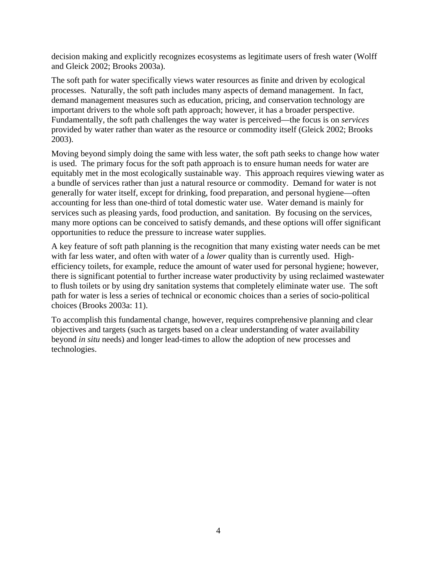decision making and explicitly recognizes ecosystems as legitimate users of fresh water (Wolff and Gleick 2002; Brooks 2003a).

The soft path for water specifically views water resources as finite and driven by ecological processes. Naturally, the soft path includes many aspects of demand management. In fact, demand management measures such as education, pricing, and conservation technology are important drivers to the whole soft path approach; however, it has a broader perspective. Fundamentally, the soft path challenges the way water is perceived—the focus is on *services* provided by water rather than water as the resource or commodity itself (Gleick 2002; Brooks 2003).

Moving beyond simply doing the same with less water, the soft path seeks to change how water is used. The primary focus for the soft path approach is to ensure human needs for water are equitably met in the most ecologically sustainable way. This approach requires viewing water as a bundle of services rather than just a natural resource or commodity. Demand for water is not generally for water itself, except for drinking, food preparation, and personal hygiene—often accounting for less than one-third of total domestic water use. Water demand is mainly for services such as pleasing yards, food production, and sanitation. By focusing on the services, many more options can be conceived to satisfy demands, and these options will offer significant opportunities to reduce the pressure to increase water supplies.

A key feature of soft path planning is the recognition that many existing water needs can be met with far less water, and often with water of a *lower* quality than is currently used. Highefficiency toilets, for example, reduce the amount of water used for personal hygiene; however, there is significant potential to further increase water productivity by using reclaimed wastewater to flush toilets or by using dry sanitation systems that completely eliminate water use. The soft path for water is less a series of technical or economic choices than a series of socio-political choices (Brooks 2003a: 11).

To accomplish this fundamental change, however, requires comprehensive planning and clear objectives and targets (such as targets based on a clear understanding of water availability beyond *in situ* needs) and longer lead-times to allow the adoption of new processes and technologies.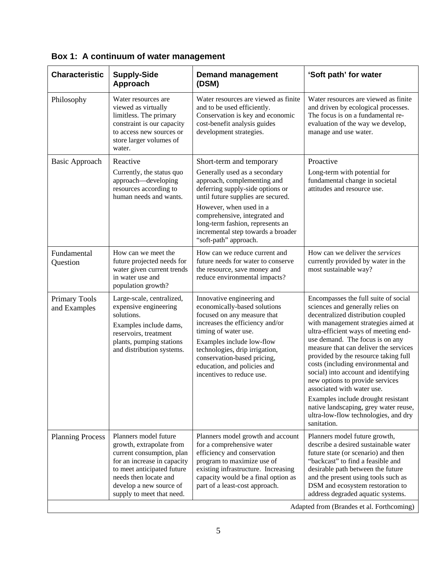| <b>Characteristic</b>                     | <b>Supply-Side</b><br>Approach                                                                                                                                                                                               | <b>Demand management</b><br>(DSM)                                                                                                                                                                                                                                                                                                 | 'Soft path' for water                                                                                                                                                                                                                                                                                                                                                                                                                                                                                                                                                                                  |  |
|-------------------------------------------|------------------------------------------------------------------------------------------------------------------------------------------------------------------------------------------------------------------------------|-----------------------------------------------------------------------------------------------------------------------------------------------------------------------------------------------------------------------------------------------------------------------------------------------------------------------------------|--------------------------------------------------------------------------------------------------------------------------------------------------------------------------------------------------------------------------------------------------------------------------------------------------------------------------------------------------------------------------------------------------------------------------------------------------------------------------------------------------------------------------------------------------------------------------------------------------------|--|
| Philosophy                                | Water resources are<br>viewed as virtually<br>limitless. The primary<br>constraint is our capacity<br>to access new sources or<br>store larger volumes of<br>water.                                                          | Water resources are viewed as finite<br>and to be used efficiently.<br>Conservation is key and economic<br>cost-benefit analysis guides<br>development strategies.                                                                                                                                                                | Water resources are viewed as finite<br>and driven by ecological processes.<br>The focus is on a fundamental re-<br>evaluation of the way we develop,<br>manage and use water.                                                                                                                                                                                                                                                                                                                                                                                                                         |  |
| <b>Basic Approach</b>                     | Reactive<br>Currently, the status quo<br>approach-developing<br>resources according to<br>human needs and wants.                                                                                                             | Short-term and temporary<br>Generally used as a secondary<br>approach, complementing and<br>deferring supply-side options or<br>until future supplies are secured.<br>However, when used in a<br>comprehensive, integrated and<br>long-term fashion, represents an<br>incremental step towards a broader<br>"soft-path" approach. | Proactive<br>Long-term with potential for<br>fundamental change in societal<br>attitudes and resource use.                                                                                                                                                                                                                                                                                                                                                                                                                                                                                             |  |
| Fundamental<br>Question                   | How can we meet the<br>future projected needs for<br>water given current trends<br>in water use and<br>population growth?                                                                                                    | How can we reduce current and<br>future needs for water to conserve<br>the resource, save money and<br>reduce environmental impacts?                                                                                                                                                                                              | How can we deliver the services<br>currently provided by water in the<br>most sustainable way?                                                                                                                                                                                                                                                                                                                                                                                                                                                                                                         |  |
| Primary Tools<br>and Examples             | Large-scale, centralized,<br>expensive engineering<br>solutions.<br>Examples include dams,<br>reservoirs, treatment<br>plants, pumping stations<br>and distribution systems.                                                 | Innovative engineering and<br>economically-based solutions<br>focused on any measure that<br>increases the efficiency and/or<br>timing of water use.<br>Examples include low-flow<br>technologies, drip irrigation,<br>conservation-based pricing,<br>education, and policies and<br>incentives to reduce use.                    | Encompasses the full suite of social<br>sciences and generally relies on<br>decentralized distribution coupled<br>with management strategies aimed at<br>ultra-efficient ways of meeting end-<br>use demand. The focus is on any<br>measure that can deliver the services<br>provided by the resource taking full<br>costs (including environmental and<br>social) into account and identifying<br>new options to provide services<br>associated with water use.<br>Examples include drought resistant<br>native landscaping, grey water reuse,<br>ultra-low-flow technologies, and dry<br>sanitation. |  |
| <b>Planning Process</b>                   | Planners model future<br>growth, extrapolate from<br>current consumption, plan<br>for an increase in capacity<br>to meet anticipated future<br>needs then locate and<br>develop a new source of<br>supply to meet that need. | Planners model growth and account<br>for a comprehensive water<br>efficiency and conservation<br>program to maximize use of<br>existing infrastructure. Increasing<br>capacity would be a final option as<br>part of a least-cost approach.                                                                                       | Planners model future growth,<br>describe a desired sustainable water<br>future state (or scenario) and then<br>"backcast" to find a feasible and<br>desirable path between the future<br>and the present using tools such as<br>DSM and ecosystem restoration to<br>address degraded aquatic systems.                                                                                                                                                                                                                                                                                                 |  |
| Adapted from (Brandes et al. Forthcoming) |                                                                                                                                                                                                                              |                                                                                                                                                                                                                                                                                                                                   |                                                                                                                                                                                                                                                                                                                                                                                                                                                                                                                                                                                                        |  |

|  |  |  |  |  | Box 1: A continuum of water management |
|--|--|--|--|--|----------------------------------------|
|--|--|--|--|--|----------------------------------------|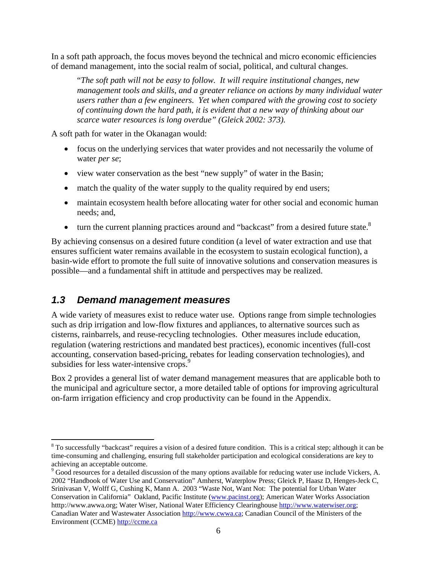In a soft path approach, the focus moves beyond the technical and micro economic efficiencies of demand management, into the social realm of social, political, and cultural changes.

"*The soft path will not be easy to follow. It will require institutional changes, new management tools and skills, and a greater reliance on actions by many individual water users rather than a few engineers. Yet when compared with the growing cost to society of continuing down the hard path, it is evident that a new way of thinking about our scarce water resources is long overdue" (Gleick 2002: 373).* 

A soft path for water in the Okanagan would:

- focus on the underlying services that water provides and not necessarily the volume of water *per se*;
- view water conservation as the best "new supply" of water in the Basin;
- match the quality of the water supply to the quality required by end users;
- maintain ecosystem health before allocating water for other social and economic human needs; and,
- turn the current planning practices around and "backcast" from a desired future state. $8$

By achieving consensus on a desired future condition (a level of water extraction and use that ensures sufficient water remains available in the ecosystem to sustain ecological function), a basin-wide effort to promote the full suite of innovative solutions and conservation measures is possible—and a fundamental shift in attitude and perspectives may be realized.

### *1.3 Demand management measures*

 $\overline{a}$ 

A wide variety of measures exist to reduce water use. Options range from simple technologies such as drip irrigation and low-flow fixtures and appliances, to alternative sources such as cisterns, rainbarrels, and reuse-recycling technologies. Other measures include education, regulation (watering restrictions and mandated best practices), economic incentives (full-cost accounting, conservation based-pricing, rebates for leading conservation technologies), and subsidies for less water-intensive crops.<sup>9</sup>

Box 2 provides a general list of water demand management measures that are applicable both to the municipal and agriculture sector, a more detailed table of options for improving agricultural on-farm irrigation efficiency and crop productivity can be found in the Appendix.

 $8$  To successfully "backcast" requires a vision of a desired future condition. This is a critical step; although it can be time-consuming and challenging, ensuring full stakeholder participation and ecological considerations are key to achieving an acceptable outcome.

<sup>&</sup>lt;sup>9</sup> Good resources for a detailed discussion of the many options available for reducing water use include Vickers, A. 2002 "Handbook of Water Use and Conservation" Amherst, Waterplow Press; Gleick P, Haasz D, Henges-Jeck C, Srinivasan V, Wolff G, Cushing K, Mann A. 2003 "Waste Not, Want Not: The potential for Urban Water Conservation in California" Oakland, Pacific Institute (www.pacinst.org); American Water Works Association htttp://www.awwa.org; Water Wiser, National Water Efficiency Clearinghouse http://www.waterwiser.org; Canadian Water and Wastewater Association http://www.cwwa.ca; Canadian Council of the Ministers of the Environment (CCME) http://ccme.ca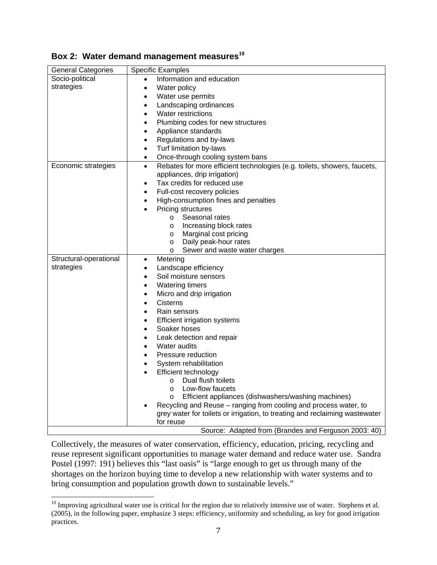|  |  |  | Box 2: Water demand management measures $^{10}$ |  |
|--|--|--|-------------------------------------------------|--|
|--|--|--|-------------------------------------------------|--|

| <b>General Categories</b> | <b>Specific Examples</b>                                                                                                                        |
|---------------------------|-------------------------------------------------------------------------------------------------------------------------------------------------|
| Socio-political           | Information and education                                                                                                                       |
| strategies                | Water policy<br>$\bullet$                                                                                                                       |
|                           | Water use permits                                                                                                                               |
|                           | Landscaping ordinances                                                                                                                          |
|                           | Water restrictions                                                                                                                              |
|                           | Plumbing codes for new structures<br>$\bullet$                                                                                                  |
|                           | Appliance standards<br>$\bullet$                                                                                                                |
|                           | Regulations and by-laws<br>$\bullet$                                                                                                            |
|                           | Turf limitation by-laws                                                                                                                         |
|                           | Once-through cooling system bans<br>$\bullet$                                                                                                   |
| Economic strategies       | Rebates for more efficient technologies (e.g. toilets, showers, faucets,<br>$\bullet$                                                           |
|                           | appliances, drip irrigation)                                                                                                                    |
|                           | Tax credits for reduced use                                                                                                                     |
|                           | Full-cost recovery policies<br>$\bullet$                                                                                                        |
|                           | High-consumption fines and penalties<br>$\bullet$                                                                                               |
|                           | Pricing structures                                                                                                                              |
|                           | Seasonal rates<br>$\circ$                                                                                                                       |
|                           | Increasing block rates<br>$\circ$                                                                                                               |
|                           | Marginal cost pricing<br>$\circ$                                                                                                                |
|                           | Daily peak-hour rates<br>O                                                                                                                      |
|                           | Sewer and waste water charges<br>O                                                                                                              |
| Structural-operational    | Metering<br>$\bullet$                                                                                                                           |
| strategies                | Landscape efficiency                                                                                                                            |
|                           | Soil moisture sensors                                                                                                                           |
|                           | <b>Watering timers</b>                                                                                                                          |
|                           | Micro and drip irrigation<br>$\bullet$                                                                                                          |
|                           | <b>Cisterns</b><br>$\bullet$                                                                                                                    |
|                           | Rain sensors                                                                                                                                    |
|                           | <b>Efficient irrigation systems</b><br>٠                                                                                                        |
|                           | Soaker hoses                                                                                                                                    |
|                           | Leak detection and repair                                                                                                                       |
|                           | Water audits                                                                                                                                    |
|                           | Pressure reduction                                                                                                                              |
|                           | System rehabilitation                                                                                                                           |
|                           | Efficient technology                                                                                                                            |
|                           | Dual flush toilets<br>$\circ$                                                                                                                   |
|                           | Low-flow faucets<br>$\circ$                                                                                                                     |
|                           | Efficient appliances (dishwashers/washing machines)<br>$\circ$                                                                                  |
|                           | Recycling and Reuse - ranging from cooling and process water, to<br>grey water for toilets or irrigation, to treating and reclaiming wastewater |
|                           | for reuse                                                                                                                                       |
|                           | Source: Adapted from (Brandes and Ferguson 2003: 40)                                                                                            |

Collectively, the measures of water conservation, efficiency, education, pricing, recycling and reuse represent significant opportunities to manage water demand and reduce water use. Sandra Postel (1997: 191) believes this "last oasis" is "large enough to get us through many of the shortages on the horizon buying time to develop a new relationship with water systems and to bring consumption and population growth down to sustainable levels."

 $\overline{a}$ 

 $10$  Improving agricultural water use is critical for the region due to relatively intensive use of water. Stephens et al. (2005), in the following paper, emphasize 3 steps: efficiency, uniformity and scheduling, as key for good irrigation practices.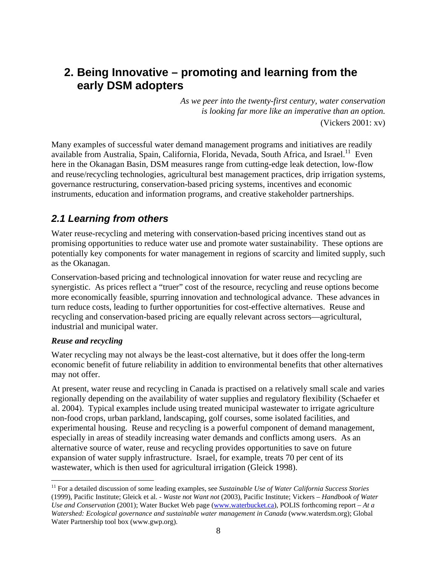## **2. Being Innovative – promoting and learning from the early DSM adopters**

*As we peer into the twenty-first century, water conservation is looking far more like an imperative than an option.* (Vickers 2001: xv)

Many examples of successful water demand management programs and initiatives are readily available from Australia, Spain, California, Florida, Nevada, South Africa, and Israel.<sup>11</sup> Even here in the Okanagan Basin, DSM measures range from cutting-edge leak detection, low-flow and reuse/recycling technologies, agricultural best management practices, drip irrigation systems, governance restructuring, conservation-based pricing systems, incentives and economic instruments, education and information programs, and creative stakeholder partnerships.

### *2.1 Learning from others*

Water reuse-recycling and metering with conservation-based pricing incentives stand out as promising opportunities to reduce water use and promote water sustainability. These options are potentially key components for water management in regions of scarcity and limited supply, such as the Okanagan.

Conservation-based pricing and technological innovation for water reuse and recycling are synergistic. As prices reflect a "truer" cost of the resource, recycling and reuse options become more economically feasible, spurring innovation and technological advance. These advances in turn reduce costs, leading to further opportunities for cost-effective alternatives. Reuse and recycling and conservation-based pricing are equally relevant across sectors—agricultural, industrial and municipal water.

#### *Reuse and recycling*

Water recycling may not always be the least-cost alternative, but it does offer the long-term economic benefit of future reliability in addition to environmental benefits that other alternatives may not offer.

At present, water reuse and recycling in Canada is practised on a relatively small scale and varies regionally depending on the availability of water supplies and regulatory flexibility (Schaefer et al. 2004). Typical examples include using treated municipal wastewater to irrigate agriculture non-food crops, urban parkland, landscaping, golf courses, some isolated facilities, and experimental housing. Reuse and recycling is a powerful component of demand management, especially in areas of steadily increasing water demands and conflicts among users. As an alternative source of water, reuse and recycling provides opportunities to save on future expansion of water supply infrastructure. Israel, for example, treats 70 per cent of its wastewater, which is then used for agricultural irrigation (Gleick 1998).

 $\overline{a}$ <sup>11</sup> For a detailed discussion of some leading examples, see *Sustainable Use of Water California Success Stories* (1999), Pacific Institute; Gleick et al. - *Waste not Want not* (2003), Pacific Institute; Vickers *– Handbook of Water Use and Conservation* (2001); Water Bucket Web page (www.waterbucket.ca), POLIS forthcoming report – *At a Watershed: Ecological governance and sustainable water management in Canada* (www.waterdsm.org); Global Water Partnership tool box (www.gwp.org).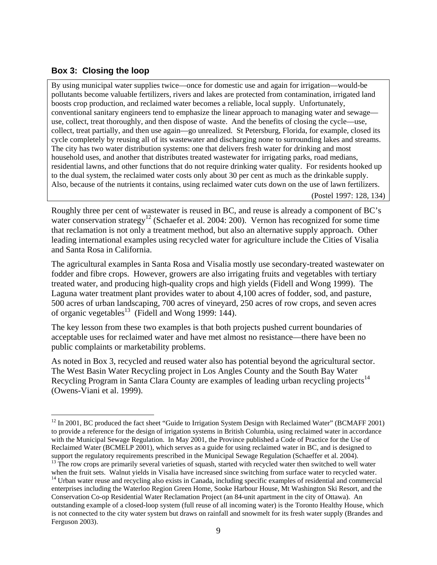#### **Box 3: Closing the loop**

 $\overline{a}$ 

By using municipal water supplies twice—once for domestic use and again for irrigation—would-be pollutants become valuable fertilizers, rivers and lakes are protected from contamination, irrigated land boosts crop production, and reclaimed water becomes a reliable, local supply. Unfortunately, conventional sanitary engineers tend to emphasize the linear approach to managing water and sewage use, collect, treat thoroughly, and then dispose of waste. And the benefits of closing the cycle—use, collect, treat partially, and then use again—go unrealized. St Petersburg, Florida, for example, closed its cycle completely by reusing all of its wastewater and discharging none to surrounding lakes and streams. The city has two water distribution systems: one that delivers fresh water for drinking and most household uses, and another that distributes treated wastewater for irrigating parks, road medians, residential lawns, and other functions that do not require drinking water quality. For residents hooked up to the dual system, the reclaimed water costs only about 30 per cent as much as the drinkable supply. Also, because of the nutrients it contains, using reclaimed water cuts down on the use of lawn fertilizers.

(Postel 1997: 128, 134)

Roughly three per cent of wastewater is reused in BC, and reuse is already a component of BC's water conservation strategy<sup>12</sup> (Schaefer et al. 2004: 200). Vernon has recognized for some time that reclamation is not only a treatment method, but also an alternative supply approach. Other leading international examples using recycled water for agriculture include the Cities of Visalia and Santa Rosa in California.

The agricultural examples in Santa Rosa and Visalia mostly use secondary-treated wastewater on fodder and fibre crops. However, growers are also irrigating fruits and vegetables with tertiary treated water, and producing high-quality crops and high yields (Fidell and Wong 1999). The Laguna water treatment plant provides water to about 4,100 acres of fodder, sod, and pasture, 500 acres of urban landscaping, 700 acres of vineyard, 250 acres of row crops, and seven acres of organic vegetables<sup>13</sup> (Fidell and Wong 1999: 144).

The key lesson from these two examples is that both projects pushed current boundaries of acceptable uses for reclaimed water and have met almost no resistance—there have been no public complaints or marketability problems.

As noted in Box 3, recycled and reused water also has potential beyond the agricultural sector. The West Basin Water Recycling project in Los Angles County and the South Bay Water Recycling Program in Santa Clara County are examples of leading urban recycling projects<sup>14</sup> (Owens-Viani et al. 1999).

<sup>&</sup>lt;sup>12</sup> In 2001, BC produced the fact sheet "Guide to Irrigation System Design with Reclaimed Water" (BCMAFF 2001) to provide a reference for the design of irrigation systems in British Columbia, using reclaimed water in accordance with the Municipal Sewage Regulation. In May 2001, the Province published a Code of Practice for the Use of Reclaimed Water (BCMELP 2001), which serves as a guide for using reclaimed water in BC, and is designed to support the regulatory requirements prescribed in the Municipal Sewage Regulation (Schaeffer et al. 2004).  $\frac{13}{13}$  The row crops are primarily several varieties of squash, started with recycled water then switched to well water

when the fruit sets. Walnut yields in Visalia have increased since switching from surface water to recycled water.<br><sup>14</sup> Urban water reuse and recycling also exists in Canada, including specific examples of residential and enterprises including the Waterloo Region Green Home, Sooke Harbour House, Mt Washington Ski Resort, and the Conservation Co-op Residential Water Reclamation Project (an 84-unit apartment in the city of Ottawa). An outstanding example of a closed-loop system (full reuse of all incoming water) is the Toronto Healthy House, which is not connected to the city water system but draws on rainfall and snowmelt for its fresh water supply (Brandes and Ferguson 2003).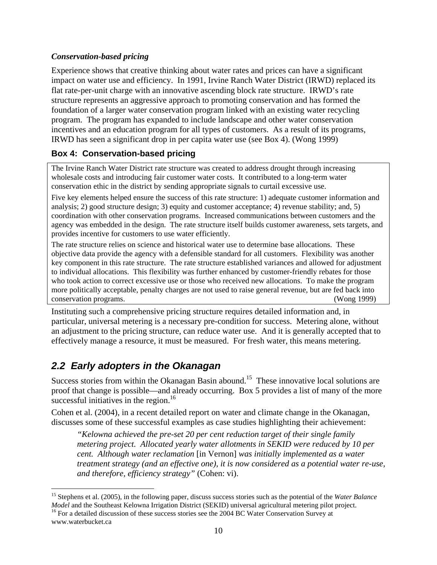### *Conservation-based pricing*

Experience shows that creative thinking about water rates and prices can have a significant impact on water use and efficiency. In 1991, Irvine Ranch Water District (IRWD) replaced its flat rate-per-unit charge with an innovative ascending block rate structure. IRWD's rate structure represents an aggressive approach to promoting conservation and has formed the foundation of a larger water conservation program linked with an existing water recycling program. The program has expanded to include landscape and other water conservation incentives and an education program for all types of customers. As a result of its programs, IRWD has seen a significant drop in per capita water use (see Box 4). (Wong 1999)

### **Box 4: Conservation-based pricing**

The Irvine Ranch Water District rate structure was created to address drought through increasing wholesale costs and introducing fair customer water costs. It contributed to a long-term water conservation ethic in the district by sending appropriate signals to curtail excessive use.

Five key elements helped ensure the success of this rate structure: 1) adequate customer information and analysis; 2) good structure design; 3) equity and customer acceptance; 4) revenue stability; and, 5) coordination with other conservation programs. Increased communications between customers and the agency was embedded in the design. The rate structure itself builds customer awareness, sets targets, and provides incentive for customers to use water efficiently.

The rate structure relies on science and historical water use to determine base allocations. These objective data provide the agency with a defensible standard for all customers. Flexibility was another key component in this rate structure. The rate structure established variances and allowed for adjustment to individual allocations. This flexibility was further enhanced by customer-friendly rebates for those who took action to correct excessive use or those who received new allocations. To make the program more politically acceptable, penalty charges are not used to raise general revenue, but are fed back into conservation programs. (Wong 1999)

Instituting such a comprehensive pricing structure requires detailed information and, in particular, universal metering is a necessary pre-condition for success. Metering alone, without an adjustment to the pricing structure, can reduce water use. And it is generally accepted that to effectively manage a resource, it must be measured. For fresh water, this means metering.

### *2.2 Early adopters in the Okanagan*

Success stories from within the Okanagan Basin abound.<sup>15</sup> These innovative local solutions are proof that change is possible—and already occurring. Box 5 provides a list of many of the more successful initiatives in the region. $16$ 

Cohen et al. (2004), in a recent detailed report on water and climate change in the Okanagan, discusses some of these successful examples as case studies highlighting their achievement:

*"Kelowna achieved the pre-set 20 per cent reduction target of their single family metering project. Allocated yearly water allotments in SEKID were reduced by 10 per cent. Although water reclamation* [in Vernon] *was initially implemented as a water treatment strategy (and an effective one), it is now considered as a potential water re-use, and therefore, efficiency strategy"* (Cohen: vi).

 $\overline{a}$ 

<sup>15</sup> Stephens et al. (2005), in the following paper, discuss success stories such as the potential of the *Water Balance Model* and the Southeast Kelowna Irrigation District (SEKID) universal agricultural metering pilot project. <sup>16</sup> For a detailed discussion of these success stories see the 2004 BC Water Conservation Survey at

www.waterbucket.ca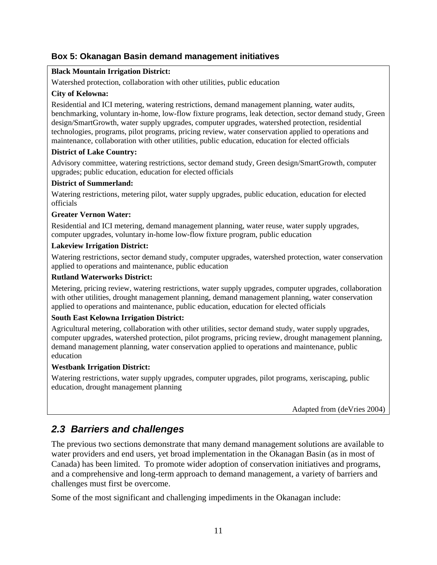#### **Box 5: Okanagan Basin demand management initiatives**

#### **Black Mountain Irrigation District:**

Watershed protection, collaboration with other utilities, public education

#### **City of Kelowna:**

Residential and ICI metering, watering restrictions, demand management planning, water audits, benchmarking, voluntary in-home, low-flow fixture programs, leak detection, sector demand study, Green design/SmartGrowth, water supply upgrades, computer upgrades, watershed protection, residential technologies, programs, pilot programs, pricing review, water conservation applied to operations and maintenance, collaboration with other utilities, public education, education for elected officials

#### **District of Lake Country:**

Advisory committee, watering restrictions, sector demand study, Green design/SmartGrowth, computer upgrades; public education, education for elected officials

#### **District of Summerland:**

Watering restrictions, metering pilot, water supply upgrades, public education, education for elected officials

#### **Greater Vernon Water:**

Residential and ICI metering, demand management planning, water reuse, water supply upgrades, computer upgrades, voluntary in-home low-flow fixture program, public education

#### **Lakeview Irrigation District:**

Watering restrictions, sector demand study, computer upgrades, watershed protection, water conservation applied to operations and maintenance, public education

#### **Rutland Waterworks District:**

Metering, pricing review, watering restrictions, water supply upgrades, computer upgrades, collaboration with other utilities, drought management planning, demand management planning, water conservation applied to operations and maintenance, public education, education for elected officials

#### **South East Kelowna Irrigation District:**

Agricultural metering, collaboration with other utilities, sector demand study, water supply upgrades, computer upgrades, watershed protection, pilot programs, pricing review, drought management planning, demand management planning, water conservation applied to operations and maintenance, public education

#### **Westbank Irrigation District:**

Watering restrictions, water supply upgrades, computer upgrades, pilot programs, xeriscaping, public education, drought management planning

Adapted from (deVries 2004)

### *2.3 Barriers and challenges*

The previous two sections demonstrate that many demand management solutions are available to water providers and end users, yet broad implementation in the Okanagan Basin (as in most of Canada) has been limited. To promote wider adoption of conservation initiatives and programs, and a comprehensive and long-term approach to demand management, a variety of barriers and challenges must first be overcome.

Some of the most significant and challenging impediments in the Okanagan include: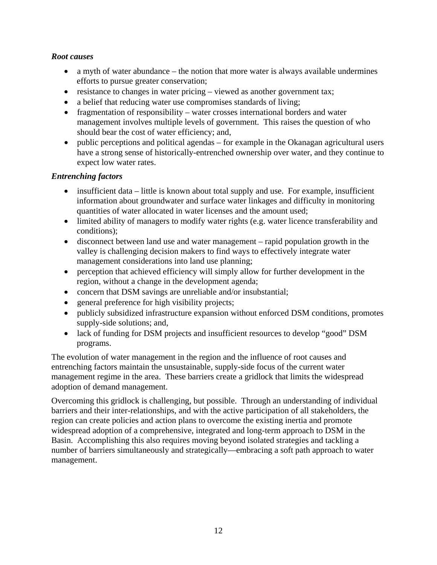#### *Root causes*

- a myth of water abundance the notion that more water is always available undermines efforts to pursue greater conservation;
- resistance to changes in water pricing viewed as another government tax;
- a belief that reducing water use compromises standards of living;
- fragmentation of responsibility water crosses international borders and water management involves multiple levels of government. This raises the question of who should bear the cost of water efficiency; and,
- public perceptions and political agendas for example in the Okanagan agricultural users have a strong sense of historically-entrenched ownership over water, and they continue to expect low water rates.

#### *Entrenching factors*

- insufficient data little is known about total supply and use. For example, insufficient information about groundwater and surface water linkages and difficulty in monitoring quantities of water allocated in water licenses and the amount used;
- limited ability of managers to modify water rights (e.g. water licence transferability and conditions);
- disconnect between land use and water management rapid population growth in the valley is challenging decision makers to find ways to effectively integrate water management considerations into land use planning;
- perception that achieved efficiency will simply allow for further development in the region, without a change in the development agenda;
- concern that DSM savings are unreliable and/or insubstantial;
- general preference for high visibility projects;
- publicly subsidized infrastructure expansion without enforced DSM conditions, promotes supply-side solutions; and,
- lack of funding for DSM projects and insufficient resources to develop "good" DSM programs.

The evolution of water management in the region and the influence of root causes and entrenching factors maintain the unsustainable, supply-side focus of the current water management regime in the area. These barriers create a gridlock that limits the widespread adoption of demand management.

Overcoming this gridlock is challenging, but possible. Through an understanding of individual barriers and their inter-relationships, and with the active participation of all stakeholders, the region can create policies and action plans to overcome the existing inertia and promote widespread adoption of a comprehensive, integrated and long-term approach to DSM in the Basin. Accomplishing this also requires moving beyond isolated strategies and tackling a number of barriers simultaneously and strategically—embracing a soft path approach to water management.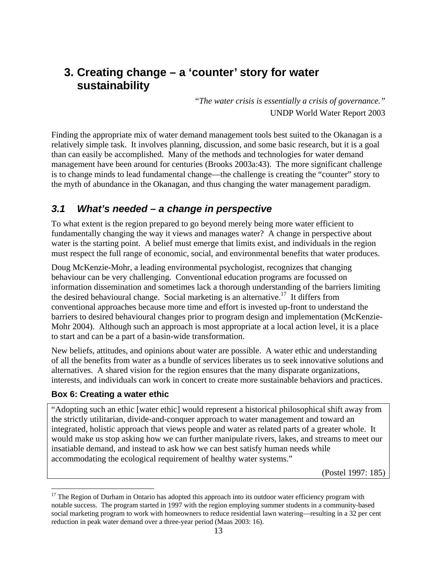## **3. Creating change – a 'counter' story for water sustainability**

"*The water crisis is essentially a crisis of governance."*  UNDP World Water Report 2003

Finding the appropriate mix of water demand management tools best suited to the Okanagan is a relatively simple task. It involves planning, discussion, and some basic research, but it is a goal than can easily be accomplished. Many of the methods and technologies for water demand management have been around for centuries (Brooks 2003a:43). The more significant challenge is to change minds to lead fundamental change—the challenge is creating the "counter" story to the myth of abundance in the Okanagan, and thus changing the water management paradigm.

### *3.1 What's needed – a change in perspective*

To what extent is the region prepared to go beyond merely being more water efficient to fundamentally changing the way it views and manages water? A change in perspective about water is the starting point. A belief must emerge that limits exist, and individuals in the region must respect the full range of economic, social, and environmental benefits that water produces.

Doug McKenzie-Mohr, a leading environmental psychologist, recognizes that changing behaviour can be very challenging. Conventional education programs are focussed on information dissemination and sometimes lack a thorough understanding of the barriers limiting the desired behavioural change. Social marketing is an alternative.<sup>17</sup> It differs from conventional approaches because more time and effort is invested up-front to understand the barriers to desired behavioural changes prior to program design and implementation (McKenzie-Mohr 2004). Although such an approach is most appropriate at a local action level, it is a place to start and can be a part of a basin-wide transformation.

New beliefs, attitudes, and opinions about water are possible. A water ethic and understanding of all the benefits from water as a bundle of services liberates us to seek innovative solutions and alternatives. A shared vision for the region ensures that the many disparate organizations, interests, and individuals can work in concert to create more sustainable behaviors and practices.

### **Box 6: Creating a water ethic**

 $\overline{a}$ 

"Adopting such an ethic [water ethic] would represent a historical philosophical shift away from the strictly utilitarian, divide-and-conquer approach to water management and toward an integrated, holistic approach that views people and water as related parts of a greater whole. It would make us stop asking how we can further manipulate rivers, lakes, and streams to meet our insatiable demand, and instead to ask how we can best satisfy human needs while accommodating the ecological requirement of healthy water systems."

(Postel 1997: 185)

 $17$  The Region of Durham in Ontario has adopted this approach into its outdoor water efficiency program with notable success. The program started in 1997 with the region employing summer students in a community-based social marketing program to work with homeowners to reduce residential lawn watering—resulting in a 32 per cent reduction in peak water demand over a three-year period (Maas 2003: 16).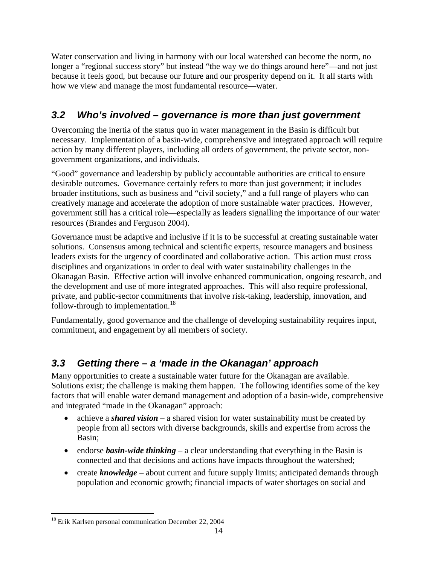Water conservation and living in harmony with our local watershed can become the norm, no longer a "regional success story" but instead "the way we do things around here"—and not just because it feels good, but because our future and our prosperity depend on it. It all starts with how we view and manage the most fundamental resource—water.

## *3.2 Who's involved – governance is more than just government*

Overcoming the inertia of the status quo in water management in the Basin is difficult but necessary. Implementation of a basin-wide, comprehensive and integrated approach will require action by many different players, including all orders of government, the private sector, nongovernment organizations, and individuals.

"Good" governance and leadership by publicly accountable authorities are critical to ensure desirable outcomes. Governance certainly refers to more than just government; it includes broader institutions, such as business and "civil society," and a full range of players who can creatively manage and accelerate the adoption of more sustainable water practices. However, government still has a critical role—especially as leaders signalling the importance of our water resources (Brandes and Ferguson 2004).

Governance must be adaptive and inclusive if it is to be successful at creating sustainable water solutions. Consensus among technical and scientific experts, resource managers and business leaders exists for the urgency of coordinated and collaborative action. This action must cross disciplines and organizations in order to deal with water sustainability challenges in the Okanagan Basin. Effective action will involve enhanced communication, ongoing research, and the development and use of more integrated approaches. This will also require professional, private, and public-sector commitments that involve risk-taking, leadership, innovation, and follow-through to implementation.<sup>18</sup>

Fundamentally, good governance and the challenge of developing sustainability requires input, commitment, and engagement by all members of society.

### *3.3 Getting there – a 'made in the Okanagan' approach*

Many opportunities to create a sustainable water future for the Okanagan are available. Solutions exist; the challenge is making them happen. The following identifies some of the key factors that will enable water demand management and adoption of a basin-wide, comprehensive and integrated "made in the Okanagan" approach:

- achieve a *shared vision* a shared vision for water sustainability must be created by people from all sectors with diverse backgrounds, skills and expertise from across the Basin;
- endorse *basin-wide thinking* a clear understanding that everything in the Basin is connected and that decisions and actions have impacts throughout the watershed;
- create *knowledge* about current and future supply limits; anticipated demands through population and economic growth; financial impacts of water shortages on social and

 $\overline{a}$ <sup>18</sup> Erik Karlsen personal communication December 22, 2004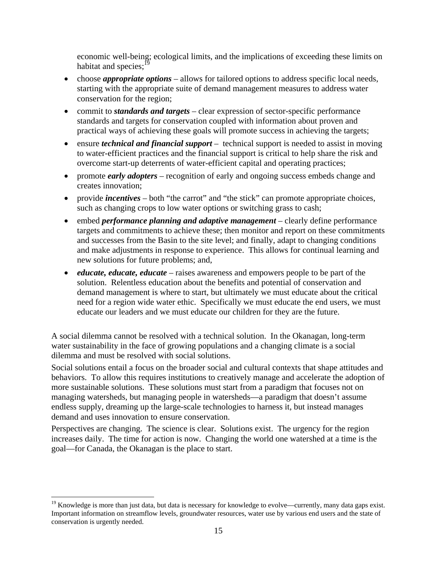economic well-being; ecological limits, and the implications of exceeding these limits on habitat and species: $19$ 

- choose *appropriate options* allows for tailored options to address specific local needs, starting with the appropriate suite of demand management measures to address water conservation for the region;
- commit to *standards and targets* clear expression of sector-specific performance standards and targets for conservation coupled with information about proven and practical ways of achieving these goals will promote success in achieving the targets;
- ensure *technical and financial support* technical support is needed to assist in moving to water-efficient practices and the financial support is critical to help share the risk and overcome start-up deterrents of water-efficient capital and operating practices;
- promote *early adopters* recognition of early and ongoing success embeds change and creates innovation;
- provide *incentives* both "the carrot" and "the stick" can promote appropriate choices, such as changing crops to low water options or switching grass to cash;
- embed *performance planning and adaptive management* clearly define performance targets and commitments to achieve these; then monitor and report on these commitments and successes from the Basin to the site level; and finally, adapt to changing conditions and make adjustments in response to experience. This allows for continual learning and new solutions for future problems; and,
- *educate, educate, educate* raises awareness and empowers people to be part of the solution. Relentless education about the benefits and potential of conservation and demand management is where to start, but ultimately we must educate about the critical need for a region wide water ethic. Specifically we must educate the end users, we must educate our leaders and we must educate our children for they are the future.

A social dilemma cannot be resolved with a technical solution. In the Okanagan, long-term water sustainability in the face of growing populations and a changing climate is a social dilemma and must be resolved with social solutions.

Social solutions entail a focus on the broader social and cultural contexts that shape attitudes and behaviors. To allow this requires institutions to creatively manage and accelerate the adoption of more sustainable solutions. These solutions must start from a paradigm that focuses not on managing watersheds, but managing people in watersheds—a paradigm that doesn't assume endless supply, dreaming up the large-scale technologies to harness it, but instead manages demand and uses innovation to ensure conservation.

Perspectives are changing. The science is clear. Solutions exist. The urgency for the region increases daily. The time for action is now. Changing the world one watershed at a time is the goal—for Canada, the Okanagan is the place to start.

 $\overline{a}$ 

<sup>&</sup>lt;sup>19</sup> Knowledge is more than just data, but data is necessary for knowledge to evolve—currently, many data gaps exist. Important information on streamflow levels, groundwater resources, water use by various end users and the state of conservation is urgently needed.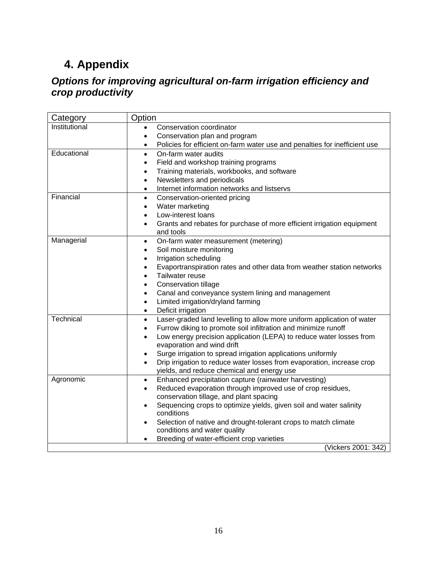# **4. Appendix**

### *Options for improving agricultural on-farm irrigation efficiency and crop productivity*

| Category      | Option                                                                                                               |
|---------------|----------------------------------------------------------------------------------------------------------------------|
| Institutional | Conservation coordinator<br>$\bullet$                                                                                |
|               | Conservation plan and program<br>٠                                                                                   |
|               | Policies for efficient on-farm water use and penalties for inefficient use<br>٠                                      |
| Educational   | On-farm water audits<br>$\bullet$                                                                                    |
|               | Field and workshop training programs<br>$\bullet$                                                                    |
|               | Training materials, workbooks, and software                                                                          |
|               | Newsletters and periodicals<br>$\bullet$                                                                             |
|               | Internet information networks and listservs<br>$\bullet$                                                             |
| Financial     | Conservation-oriented pricing<br>$\bullet$                                                                           |
|               | Water marketing<br>$\bullet$                                                                                         |
|               | Low-interest loans<br>$\bullet$                                                                                      |
|               | Grants and rebates for purchase of more efficient irrigation equipment<br>$\bullet$                                  |
|               | and tools                                                                                                            |
| Managerial    | On-farm water measurement (metering)<br>٠                                                                            |
|               | Soil moisture monitoring<br>٠                                                                                        |
|               | Irrigation scheduling<br>٠                                                                                           |
|               | Evaportranspiration rates and other data from weather station networks<br>$\bullet$                                  |
|               | Tailwater reuse<br>$\bullet$                                                                                         |
|               | <b>Conservation tillage</b><br>$\bullet$                                                                             |
|               | Canal and conveyance system lining and management<br>$\bullet$                                                       |
|               | Limited irrigation/dryland farming<br>$\bullet$                                                                      |
|               | Deficit irrigation<br>$\bullet$                                                                                      |
| Technical     | Laser-graded land levelling to allow more uniform application of water<br>$\bullet$                                  |
|               | Furrow diking to promote soil infiltration and minimize runoff<br>$\bullet$                                          |
|               | Low energy precision application (LEPA) to reduce water losses from<br>$\bullet$                                     |
|               | evaporation and wind drift                                                                                           |
|               | Surge irrigation to spread irrigation applications uniformly<br>$\bullet$                                            |
|               | Drip irrigation to reduce water losses from evaporation, increase crop<br>yields, and reduce chemical and energy use |
| Agronomic     | Enhanced precipitation capture (rainwater harvesting)<br>$\bullet$                                                   |
|               | Reduced evaporation through improved use of crop residues,<br>$\bullet$                                              |
|               | conservation tillage, and plant spacing                                                                              |
|               | Sequencing crops to optimize yields, given soil and water salinity<br>$\bullet$                                      |
|               | conditions                                                                                                           |
|               | Selection of native and drought-tolerant crops to match climate<br>٠                                                 |
|               | conditions and water quality                                                                                         |
|               | Breeding of water-efficient crop varieties                                                                           |
|               | (Vickers 2001: 342)                                                                                                  |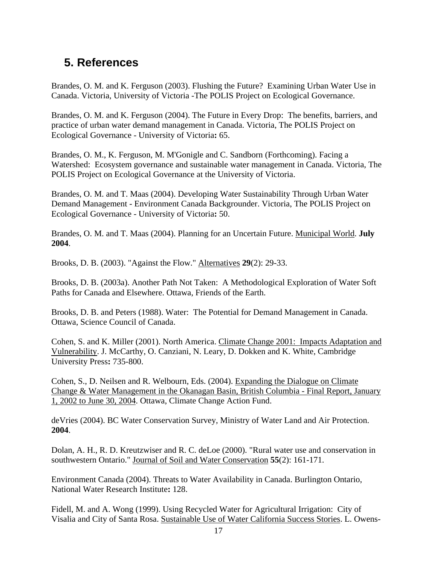# **5. References**

Brandes, O. M. and K. Ferguson (2003). Flushing the Future? Examining Urban Water Use in Canada. Victoria, University of Victoria -The POLIS Project on Ecological Governance.

Brandes, O. M. and K. Ferguson (2004). The Future in Every Drop: The benefits, barriers, and practice of urban water demand management in Canada. Victoria, The POLIS Project on Ecological Governance - University of Victoria**:** 65.

Brandes, O. M., K. Ferguson, M. M'Gonigle and C. Sandborn (Forthcoming). Facing a Watershed: Ecosystem governance and sustainable water management in Canada. Victoria, The POLIS Project on Ecological Governance at the University of Victoria.

Brandes, O. M. and T. Maas (2004). Developing Water Sustainability Through Urban Water Demand Management - Environment Canada Backgrounder. Victoria, The POLIS Project on Ecological Governance - University of Victoria**:** 50.

Brandes, O. M. and T. Maas (2004). Planning for an Uncertain Future. Municipal World. **July 2004**.

Brooks, D. B. (2003). "Against the Flow." Alternatives **29**(2): 29-33.

Brooks, D. B. (2003a). Another Path Not Taken: A Methodological Exploration of Water Soft Paths for Canada and Elsewhere. Ottawa, Friends of the Earth.

Brooks, D. B. and Peters (1988). Water: The Potential for Demand Management in Canada. Ottawa, Science Council of Canada.

Cohen, S. and K. Miller (2001). North America. Climate Change 2001: Impacts Adaptation and Vulnerability. J. McCarthy, O. Canziani, N. Leary, D. Dokken and K. White, Cambridge University Press**:** 735-800.

Cohen, S., D. Neilsen and R. Welbourn, Eds. (2004). Expanding the Dialogue on Climate Change & Water Management in the Okanagan Basin, British Columbia - Final Report, January 1, 2002 to June 30, 2004. Ottawa, Climate Change Action Fund.

deVries (2004). BC Water Conservation Survey, Ministry of Water Land and Air Protection. **2004**.

Dolan, A. H., R. D. Kreutzwiser and R. C. deLoe (2000). "Rural water use and conservation in southwestern Ontario." Journal of Soil and Water Conservation **55**(2): 161-171.

Environment Canada (2004). Threats to Water Availability in Canada. Burlington Ontario, National Water Research Institute**:** 128.

Fidell, M. and A. Wong (1999). Using Recycled Water for Agricultural Irrigation: City of Visalia and City of Santa Rosa. Sustainable Use of Water California Success Stories. L. Owens-